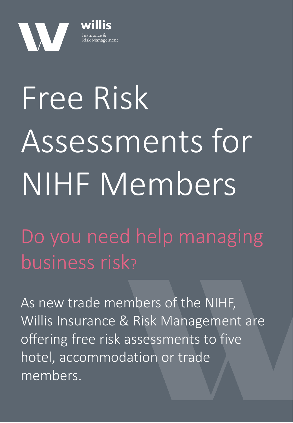

## Assessments for  $NIHENAO$ | **WII** Free Risk NIHF Members

Consideration DO YOU HEEU HE business ris Do you need help managing business risk?

As new trade members of the NIHF, and premises when  $\mathbb{R}$ Willis Insurance & Risk Management are offering free risk assessments to five hotel, accommodation or trade members.